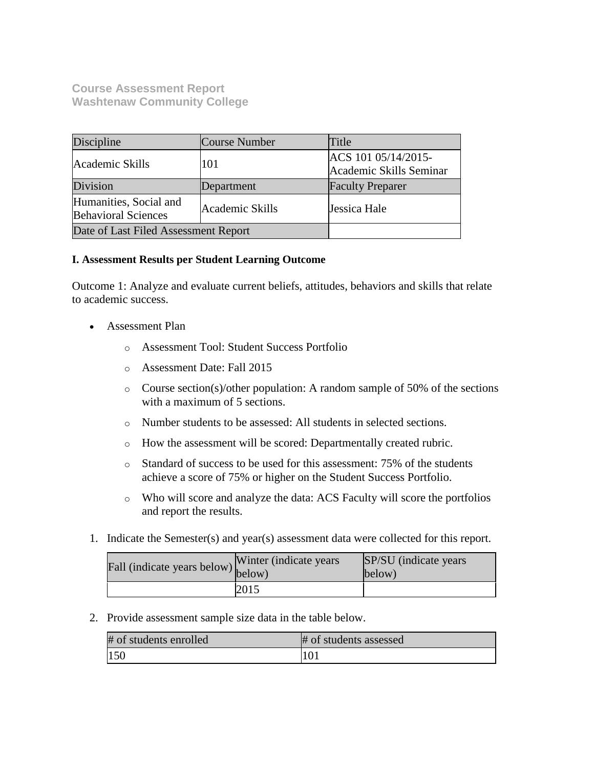**Course Assessment Report Washtenaw Community College**

| Discipline                                           | Course Number   | Title                                          |
|------------------------------------------------------|-----------------|------------------------------------------------|
| Academic Skills                                      | 101             | ACS 101 05/14/2015-<br>Academic Skills Seminar |
| Division                                             | Department      | <b>Faculty Preparer</b>                        |
| Humanities, Social and<br><b>Behavioral Sciences</b> | Academic Skills | Jessica Hale                                   |
| Date of Last Filed Assessment Report                 |                 |                                                |

#### **I. Assessment Results per Student Learning Outcome**

Outcome 1: Analyze and evaluate current beliefs, attitudes, behaviors and skills that relate to academic success.

- Assessment Plan
	- o Assessment Tool: Student Success Portfolio
	- o Assessment Date: Fall 2015
	- $\circ$  Course section(s)/other population: A random sample of 50% of the sections with a maximum of 5 sections.
	- o Number students to be assessed: All students in selected sections.
	- o How the assessment will be scored: Departmentally created rubric.
	- o Standard of success to be used for this assessment: 75% of the students achieve a score of 75% or higher on the Student Success Portfolio.
	- o Who will score and analyze the data: ACS Faculty will score the portfolios and report the results.
- 1. Indicate the Semester(s) and year(s) assessment data were collected for this report.

| rall (indicate years below) below) | Winter (indicate years) | SP/SU (indicate years)<br>below) |
|------------------------------------|-------------------------|----------------------------------|
|                                    | 2015                    |                                  |

2. Provide assessment sample size data in the table below.

| # of students enrolled | # of students assessed |
|------------------------|------------------------|
| 150                    | 10 <sub>1</sub>        |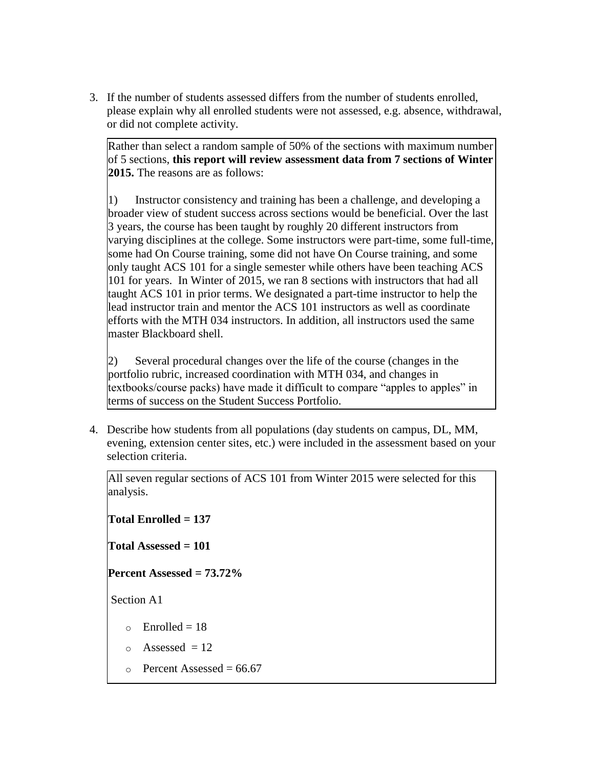3. If the number of students assessed differs from the number of students enrolled, please explain why all enrolled students were not assessed, e.g. absence, withdrawal, or did not complete activity.

Rather than select a random sample of 50% of the sections with maximum number of 5 sections, **this report will review assessment data from 7 sections of Winter 2015.** The reasons are as follows:

1) Instructor consistency and training has been a challenge, and developing a broader view of student success across sections would be beneficial. Over the last 3 years, the course has been taught by roughly 20 different instructors from varying disciplines at the college. Some instructors were part-time, some full-time, some had On Course training, some did not have On Course training, and some only taught ACS 101 for a single semester while others have been teaching ACS 101 for years. In Winter of 2015, we ran 8 sections with instructors that had all taught ACS 101 in prior terms. We designated a part-time instructor to help the lead instructor train and mentor the ACS 101 instructors as well as coordinate efforts with the MTH 034 instructors. In addition, all instructors used the same master Blackboard shell.

2) Several procedural changes over the life of the course (changes in the portfolio rubric, increased coordination with MTH 034, and changes in textbooks/course packs) have made it difficult to compare "apples to apples" in terms of success on the Student Success Portfolio.

4. Describe how students from all populations (day students on campus, DL, MM, evening, extension center sites, etc.) were included in the assessment based on your selection criteria.

All seven regular sections of ACS 101 from Winter 2015 were selected for this analysis.

**Total Enrolled = 137** 

**Total Assessed = 101**

**Percent Assessed = 73.72%**

Section A1

- $\circ$  Enrolled = 18
- $\circ$  Assessed = 12
- $\circ$  Percent Assessed = 66.67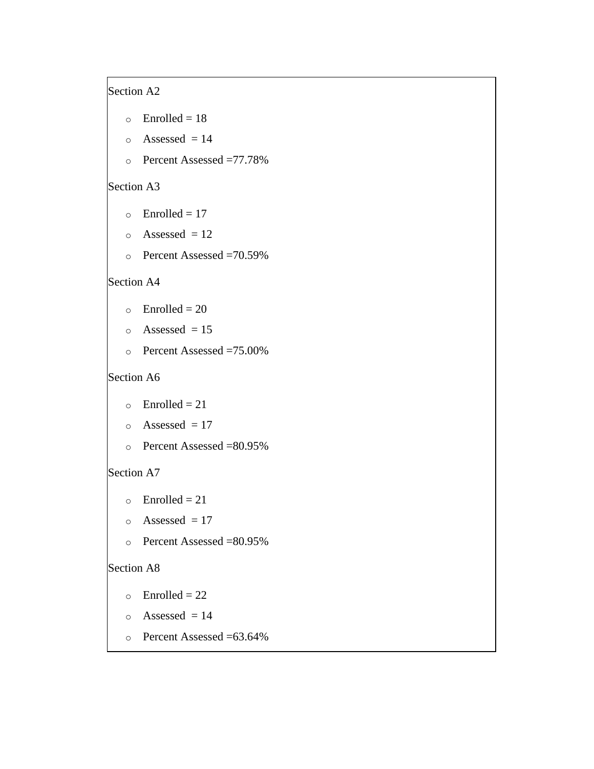# Section A2

- $\circ$  Enrolled = 18
- $\circ$  Assessed = 14
- o Percent Assessed =77.78%

# Section A3

- $\circ$  Enrolled = 17
- $\circ$  Assessed = 12
- o Percent Assessed =70.59%

## Section A4

- $\circ$  Enrolled = 20
- $\circ$  Assessed = 15
- o Percent Assessed =75.00%

## Section A6

- $\circ$  Enrolled = 21
- $\circ$  Assessed = 17
- o Percent Assessed =80.95%

## Section A7

- $\circ$  Enrolled = 21
- $\circ$  Assessed = 17
- o Percent Assessed =80.95%

## Section A8

- $\circ$  Enrolled = 22
- $\circ$  Assessed = 14
- o Percent Assessed =63.64%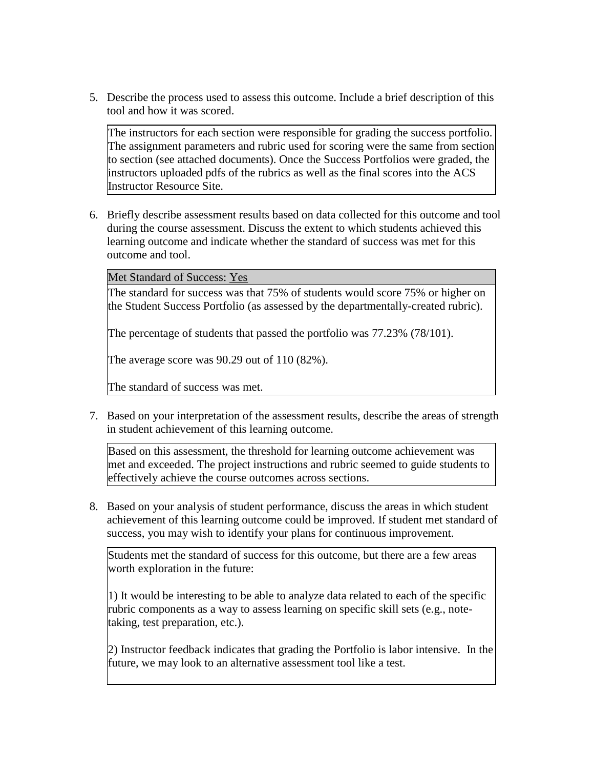5. Describe the process used to assess this outcome. Include a brief description of this tool and how it was scored.

The instructors for each section were responsible for grading the success portfolio. The assignment parameters and rubric used for scoring were the same from section to section (see attached documents). Once the Success Portfolios were graded, the instructors uploaded pdfs of the rubrics as well as the final scores into the ACS Instructor Resource Site.

6. Briefly describe assessment results based on data collected for this outcome and tool during the course assessment. Discuss the extent to which students achieved this learning outcome and indicate whether the standard of success was met for this outcome and tool.

Met Standard of Success: Yes

The standard for success was that 75% of students would score 75% or higher on the Student Success Portfolio (as assessed by the departmentally-created rubric).

The percentage of students that passed the portfolio was 77.23% (78/101).

The average score was 90.29 out of 110 (82%).

The standard of success was met.

7. Based on your interpretation of the assessment results, describe the areas of strength in student achievement of this learning outcome.

Based on this assessment, the threshold for learning outcome achievement was met and exceeded. The project instructions and rubric seemed to guide students to effectively achieve the course outcomes across sections.

8. Based on your analysis of student performance, discuss the areas in which student achievement of this learning outcome could be improved. If student met standard of success, you may wish to identify your plans for continuous improvement.

Students met the standard of success for this outcome, but there are a few areas worth exploration in the future:

1) It would be interesting to be able to analyze data related to each of the specific rubric components as a way to assess learning on specific skill sets (e.g., notetaking, test preparation, etc.).

2) Instructor feedback indicates that grading the Portfolio is labor intensive. In the future, we may look to an alternative assessment tool like a test.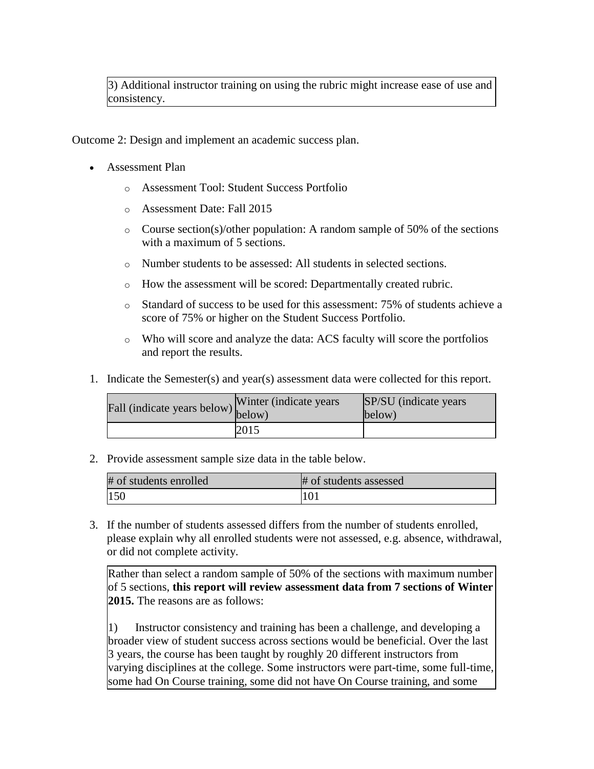3) Additional instructor training on using the rubric might increase ease of use and consistency.

Outcome 2: Design and implement an academic success plan.

- Assessment Plan
	- o Assessment Tool: Student Success Portfolio
	- o Assessment Date: Fall 2015
	- $\circ$  Course section(s)/other population: A random sample of 50% of the sections with a maximum of 5 sections.
	- o Number students to be assessed: All students in selected sections.
	- o How the assessment will be scored: Departmentally created rubric.
	- o Standard of success to be used for this assessment: 75% of students achieve a score of 75% or higher on the Student Success Portfolio.
	- o Who will score and analyze the data: ACS faculty will score the portfolios and report the results.
- 1. Indicate the Semester(s) and year(s) assessment data were collected for this report.

| Fall (indicate years below) below) | Winter (indicate years) | SP/SU (indicate years)<br>below) |
|------------------------------------|-------------------------|----------------------------------|
|                                    | 2015                    |                                  |

2. Provide assessment sample size data in the table below.

| # of students enrolled | # of students assessed |
|------------------------|------------------------|
| 150                    | 101                    |

3. If the number of students assessed differs from the number of students enrolled, please explain why all enrolled students were not assessed, e.g. absence, withdrawal, or did not complete activity.

Rather than select a random sample of 50% of the sections with maximum number of 5 sections, **this report will review assessment data from 7 sections of Winter 2015.** The reasons are as follows:

1) Instructor consistency and training has been a challenge, and developing a broader view of student success across sections would be beneficial. Over the last 3 years, the course has been taught by roughly 20 different instructors from varying disciplines at the college. Some instructors were part-time, some full-time, some had On Course training, some did not have On Course training, and some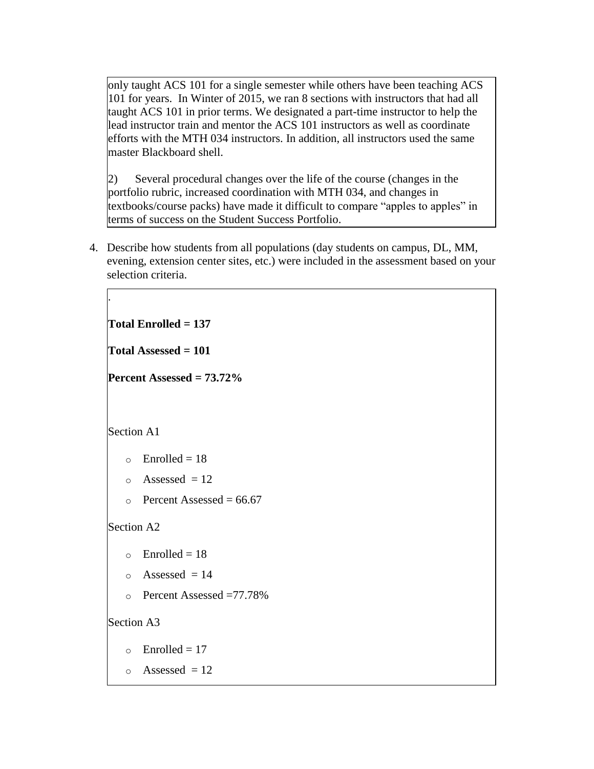only taught ACS 101 for a single semester while others have been teaching ACS 101 for years. In Winter of 2015, we ran 8 sections with instructors that had all taught ACS 101 in prior terms. We designated a part-time instructor to help the lead instructor train and mentor the ACS 101 instructors as well as coordinate efforts with the MTH 034 instructors. In addition, all instructors used the same master Blackboard shell.

2) Several procedural changes over the life of the course (changes in the portfolio rubric, increased coordination with MTH 034, and changes in textbooks/course packs) have made it difficult to compare "apples to apples" in terms of success on the Student Success Portfolio.

4. Describe how students from all populations (day students on campus, DL, MM, evening, extension center sites, etc.) were included in the assessment based on your selection criteria.

**Total Enrolled = 137 Total Assessed = 101 Percent Assessed = 73.72%** Section A1  $\circ$  Enrolled = 18  $\circ$  Assessed = 12  $\circ$  Percent Assessed = 66.67 Section A2  $\circ$  Enrolled = 18  $\circ$  Assessed = 14 o Percent Assessed =77.78% Section A3  $\circ$  Enrolled = 17  $\circ$  Assessed = 12

.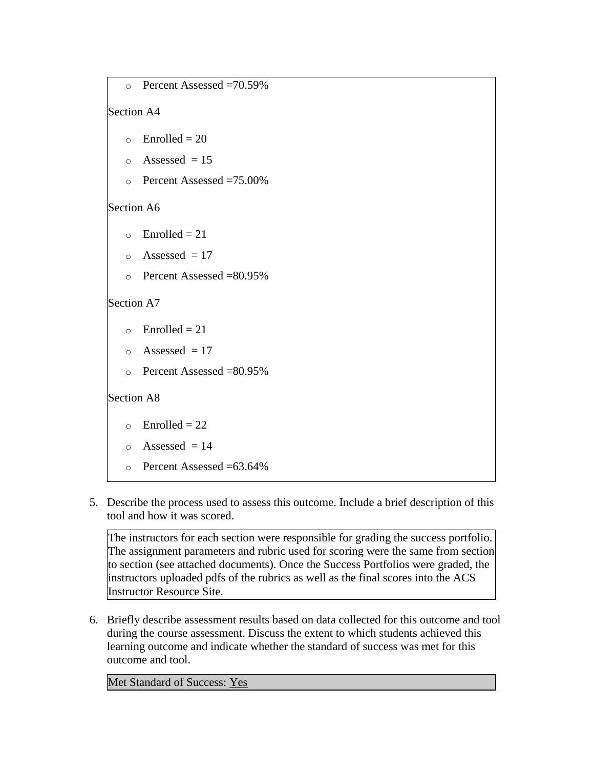```
o Percent Assessed =70.59%
Section A4 
   \circ Enrolled = 20
   \circ Assessed = 15
   o Percent Assessed =75.00%
Section A6 
   \circ Enrolled = 21
   \circ Assessed = 17
   o Percent Assessed =80.95%
Section A7 
   \circ Enrolled = 21
   \circ Assessed = 17
   o Percent Assessed =80.95%
Section A8 
   \circ Enrolled = 22
   \circ Assessed = 14
   \circ Percent Assessed =63.64\%
```
5. Describe the process used to assess this outcome. Include a brief description of this tool and how it was scored.

The instructors for each section were responsible for grading the success portfolio. The assignment parameters and rubric used for scoring were the same from section to section (see attached documents). Once the Success Portfolios were graded, the instructors uploaded pdfs of the rubrics as well as the final scores into the ACS Instructor Resource Site.

6. Briefly describe assessment results based on data collected for this outcome and tool during the course assessment. Discuss the extent to which students achieved this learning outcome and indicate whether the standard of success was met for this outcome and tool.

Met Standard of Success: Yes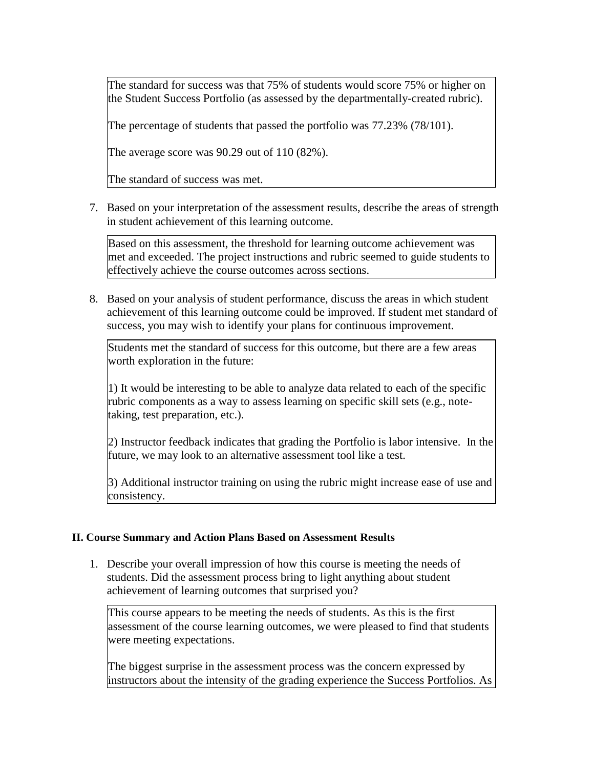The standard for success was that 75% of students would score 75% or higher on the Student Success Portfolio (as assessed by the departmentally-created rubric).

The percentage of students that passed the portfolio was 77.23% (78/101).

The average score was 90.29 out of 110 (82%).

The standard of success was met.

7. Based on your interpretation of the assessment results, describe the areas of strength in student achievement of this learning outcome.

Based on this assessment, the threshold for learning outcome achievement was met and exceeded. The project instructions and rubric seemed to guide students to effectively achieve the course outcomes across sections.

8. Based on your analysis of student performance, discuss the areas in which student achievement of this learning outcome could be improved. If student met standard of success, you may wish to identify your plans for continuous improvement.

Students met the standard of success for this outcome, but there are a few areas worth exploration in the future:

1) It would be interesting to be able to analyze data related to each of the specific rubric components as a way to assess learning on specific skill sets (e.g., notetaking, test preparation, etc.).

2) Instructor feedback indicates that grading the Portfolio is labor intensive. In the future, we may look to an alternative assessment tool like a test.

3) Additional instructor training on using the rubric might increase ease of use and consistency.

#### **II. Course Summary and Action Plans Based on Assessment Results**

1. Describe your overall impression of how this course is meeting the needs of students. Did the assessment process bring to light anything about student achievement of learning outcomes that surprised you?

This course appears to be meeting the needs of students. As this is the first assessment of the course learning outcomes, we were pleased to find that students were meeting expectations.

The biggest surprise in the assessment process was the concern expressed by instructors about the intensity of the grading experience the Success Portfolios. As